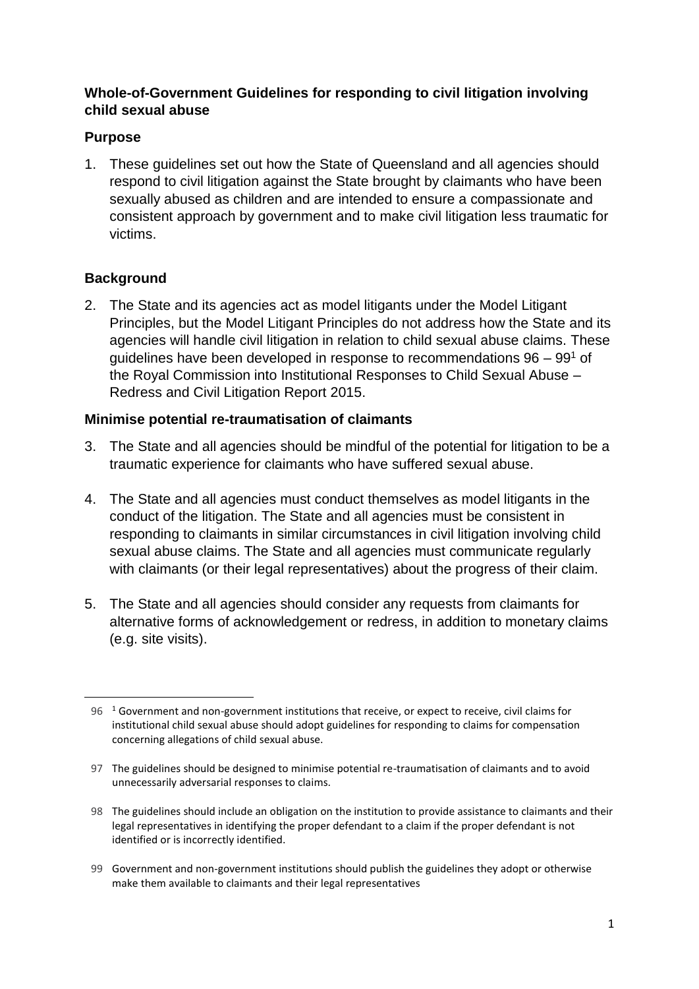## **Whole-of-Government Guidelines for responding to civil litigation involving child sexual abuse**

## **Purpose**

1. These guidelines set out how the State of Queensland and all agencies should respond to civil litigation against the State brought by claimants who have been sexually abused as children and are intended to ensure a compassionate and consistent approach by government and to make civil litigation less traumatic for victims.

# **Background**

 $\overline{a}$ 

2. The State and its agencies act as model litigants under the Model Litigant Principles, but the Model Litigant Principles do not address how the State and its agencies will handle civil litigation in relation to child sexual abuse claims. These guidelines have been developed in response to recommendations  $96 - 99<sup>1</sup>$  of the Royal Commission into Institutional Responses to Child Sexual Abuse – Redress and Civil Litigation Report 2015.

### **Minimise potential re-traumatisation of claimants**

- 3. The State and all agencies should be mindful of the potential for litigation to be a traumatic experience for claimants who have suffered sexual abuse.
- 4. The State and all agencies must conduct themselves as model litigants in the conduct of the litigation. The State and all agencies must be consistent in responding to claimants in similar circumstances in civil litigation involving child sexual abuse claims. The State and all agencies must communicate regularly with claimants (or their legal representatives) about the progress of their claim.
- 5. The State and all agencies should consider any requests from claimants for alternative forms of acknowledgement or redress, in addition to monetary claims (e.g. site visits).

99 Government and non-government institutions should publish the guidelines they adopt or otherwise make them available to claimants and their legal representatives

 $96<sup>-1</sup>$  Government and non-government institutions that receive, or expect to receive, civil claims for institutional child sexual abuse should adopt guidelines for responding to claims for compensation concerning allegations of child sexual abuse.

<sup>97</sup> The guidelines should be designed to minimise potential re-traumatisation of claimants and to avoid unnecessarily adversarial responses to claims.

<sup>98</sup> The guidelines should include an obligation on the institution to provide assistance to claimants and their legal representatives in identifying the proper defendant to a claim if the proper defendant is not identified or is incorrectly identified.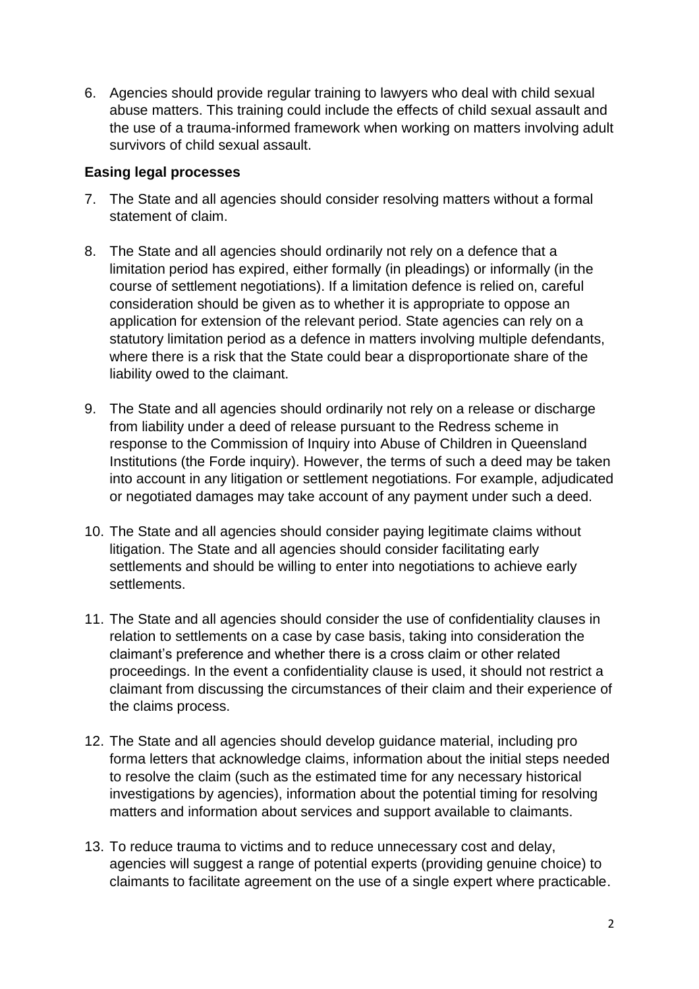6. Agencies should provide regular training to lawyers who deal with child sexual abuse matters. This training could include the effects of child sexual assault and the use of a trauma-informed framework when working on matters involving adult survivors of child sexual assault.

#### **Easing legal processes**

- 7. The State and all agencies should consider resolving matters without a formal statement of claim.
- 8. The State and all agencies should ordinarily not rely on a defence that a limitation period has expired, either formally (in pleadings) or informally (in the course of settlement negotiations). If a limitation defence is relied on, careful consideration should be given as to whether it is appropriate to oppose an application for extension of the relevant period. State agencies can rely on a statutory limitation period as a defence in matters involving multiple defendants, where there is a risk that the State could bear a disproportionate share of the liability owed to the claimant.
- 9. The State and all agencies should ordinarily not rely on a release or discharge from liability under a deed of release pursuant to the Redress scheme in response to the Commission of Inquiry into Abuse of Children in Queensland Institutions (the Forde inquiry). However, the terms of such a deed may be taken into account in any litigation or settlement negotiations. For example, adjudicated or negotiated damages may take account of any payment under such a deed.
- 10. The State and all agencies should consider paying legitimate claims without litigation. The State and all agencies should consider facilitating early settlements and should be willing to enter into negotiations to achieve early settlements.
- 11. The State and all agencies should consider the use of confidentiality clauses in relation to settlements on a case by case basis, taking into consideration the claimant's preference and whether there is a cross claim or other related proceedings. In the event a confidentiality clause is used, it should not restrict a claimant from discussing the circumstances of their claim and their experience of the claims process.
- 12. The State and all agencies should develop guidance material, including pro forma letters that acknowledge claims, information about the initial steps needed to resolve the claim (such as the estimated time for any necessary historical investigations by agencies), information about the potential timing for resolving matters and information about services and support available to claimants.
- 13. To reduce trauma to victims and to reduce unnecessary cost and delay, agencies will suggest a range of potential experts (providing genuine choice) to claimants to facilitate agreement on the use of a single expert where practicable.